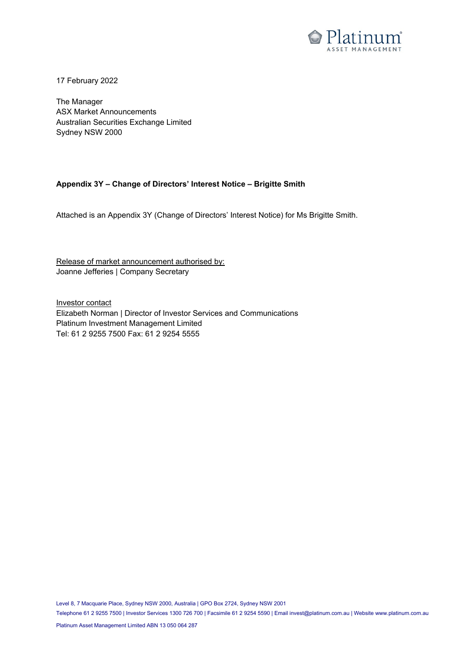

17 February 2022

The Manager ASX Market Announcements Australian Securities Exchange Limited Sydney NSW 2000

### **Appendix 3Y – Change of Directors' Interest Notice – Brigitte Smith**

Attached is an Appendix 3Y (Change of Directors' Interest Notice) for Ms Brigitte Smith.

Release of market announcement authorised by: Joanne Jefferies | Company Secretary

Investor contact Elizabeth Norman | Director of Investor Services and Communications Platinum Investment Management Limited Tel: 61 2 9255 7500 Fax: 61 2 9254 5555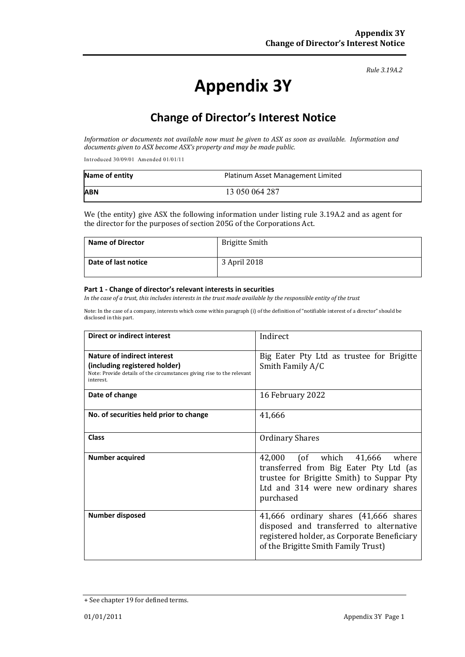#### *Rule 3.19A.2*

# **Appendix 3Y**

# **Change of Director's Interest Notice**

*Information or documents not available now must be given to ASX as soon as available. Information and documents given to ASX become ASX's property and may be made public.*

Introduced 30/09/01 Amended 01/01/11

| Name of entity | Platinum Asset Management Limited |
|----------------|-----------------------------------|
| <b>ABN</b>     | 13 050 064 287                    |

We (the entity) give ASX the following information under listing rule 3.19A.2 and as agent for the director for the purposes of section 205G of the Corporations Act.

| <b>Name of Director</b> | <b>Brigitte Smith</b> |
|-------------------------|-----------------------|
| Date of last notice     | 3 April 2018          |

### **Part 1 - Change of director's relevant interests in securities**

*In the case of a trust, this includes interests in the trust made available by the responsible entity of the trust*

Note: In the case of a company, interests which come within paragraph (i) of the definition of "notifiable interest of a director" should be disclosed in this part.

| <b>Direct or indirect interest</b>                                                                                                                  | Indirect                                                                                                                                                                  |
|-----------------------------------------------------------------------------------------------------------------------------------------------------|---------------------------------------------------------------------------------------------------------------------------------------------------------------------------|
| Nature of indirect interest<br>(including registered holder)<br>Note: Provide details of the circumstances giving rise to the relevant<br>interest. | Big Eater Pty Ltd as trustee for Brigitte<br>Smith Family A/C                                                                                                             |
| Date of change                                                                                                                                      | 16 February 2022                                                                                                                                                          |
| No. of securities held prior to change                                                                                                              | 41,666                                                                                                                                                                    |
| Class                                                                                                                                               | <b>Ordinary Shares</b>                                                                                                                                                    |
| <b>Number acquired</b>                                                                                                                              | 42,000 (of which 41,666 where<br>transferred from Big Eater Pty Ltd (as<br>trustee for Brigitte Smith) to Suppar Pty<br>Ltd and 314 were new ordinary shares<br>purchased |
| <b>Number disposed</b>                                                                                                                              | 41,666 ordinary shares (41,666 shares<br>disposed and transferred to alternative<br>registered holder, as Corporate Beneficiary<br>of the Brigitte Smith Family Trust)    |

<sup>+</sup> See chapter 19 for defined terms.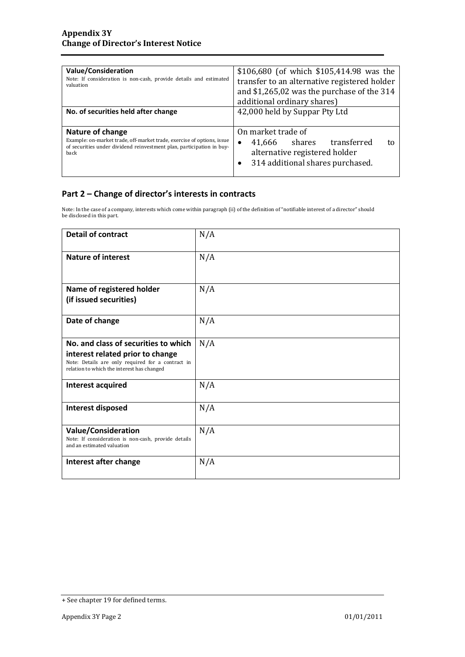| Value/Consideration<br>Note: If consideration is non-cash, provide details and estimated<br>valuation                                                                       | \$106,680 (of which \$105,414.98 was the<br>transfer to an alternative registered holder<br>and \$1,265,02 was the purchase of the 314<br>additional ordinary shares) |
|-----------------------------------------------------------------------------------------------------------------------------------------------------------------------------|-----------------------------------------------------------------------------------------------------------------------------------------------------------------------|
| No. of securities held after change                                                                                                                                         | 42,000 held by Suppar Pty Ltd                                                                                                                                         |
| Nature of change<br>Example: on-market trade, off-market trade, exercise of options, issue<br>of securities under dividend reinvestment plan, participation in buy-<br>back | On market trade of<br>transferred<br>41,666 shares<br>$\bullet$<br>tο<br>alternative registered holder<br>314 additional shares purchased.<br>$\bullet$               |

### **Part 2 – Change of director's interests in contracts**

Note: In the case of a company, interests which come within paragraph (ii) of the definition of "notifiable interest of a director" should be disclosed in this part.

| <b>Detail of contract</b>                                                                                                           | N/A |
|-------------------------------------------------------------------------------------------------------------------------------------|-----|
| <b>Nature of interest</b>                                                                                                           | N/A |
| Name of registered holder                                                                                                           | N/A |
| (if issued securities)                                                                                                              |     |
| Date of change                                                                                                                      | N/A |
| No. and class of securities to which                                                                                                | N/A |
| interest related prior to change<br>Note: Details are only required for a contract in<br>relation to which the interest has changed |     |
| Interest acquired                                                                                                                   | N/A |
| Interest disposed                                                                                                                   | N/A |
| <b>Value/Consideration</b><br>Note: If consideration is non-cash, provide details<br>and an estimated valuation                     | N/A |
| Interest after change                                                                                                               | N/A |

<sup>+</sup> See chapter 19 for defined terms.